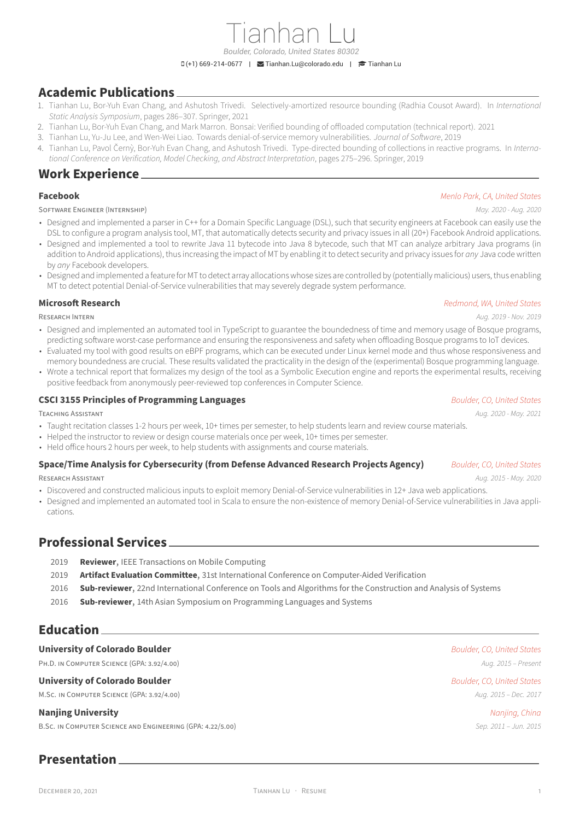# **Academic Publications**

- 1. Tianhan Lu, Bor‑Yuh Evan Chang, and Ashutosh Trivedi. S[electively‑amortized reso](mailto:Tianhan.Lu@colorado.edu)urc[e bounding \(R](https://scholar.google.com/citations?user=zKgQCf8AAAAJ)adhia Cousot Award). In *International Static Analysis Symposium*, pages 286–307. Springer, 2021
- 2. Tianhan Lu, Bor‑Yuh Evan Chang, and Mark Marron. Bonsai: Verified bounding of offloaded computation (technical report). 2021
- 3. Tianhan Lu, Yu‑Ju Lee, and Wen‑Wei Liao. Towards denial‑of‑service memory vulnerabilities. *Journal of Software*, 2019
- 4. Tianhan Lu, Pavol Černỳ, Bor‑Yuh Evan Chang, and Ashutosh Trivedi. Type‑directed bounding of collections in reactive programs. In *Interna‑ tional Conference on Verification, Model Checking, and Abstract Interpretation*, pages 275–296. Springer, 2019

## **Work Experience**

SOFTWARE ENGiNEER (INTERNSHiP) *May. 2020 ‑ Aug. 2020*

#### **Facebook** *Menlo Park, CA, United States*

- Designed and implemented a parser in C++ for a Domain Specific Language (DSL), such that security engineers at Facebook can easily use the DSL to configure a program analysis tool, MT, that automatically detects security and privacy issues in all (20+) Facebook Android applications.
- Designed and implemented a tool to rewrite Java 11 bytecode into Java 8 bytecode, such that MT can analyze arbitrary Java programs (in addition to Android applications), thus increasing the impact of MT by enabling it to detect security and privacy issues for *any* Java code written by *any* Facebook developers.
- Designed and implemented a feature for MT to detect array allocations whose sizes are controlled by (potentially malicious) users, thus enabling MT to detect potential Denial-of-Service vulnerabilities that may severely degrade system performance.

**Microsoft Research** *Redmond, WA, United States*

RESEARCH INTERN *Aug. 2019 ‑ Nov. 2019*

- Designed and implemented an automated tool in TypeScript to guarantee the boundedness of time and memory usage of Bosque programs, predicting software worst-case performance and ensuring the responsiveness and safety when offloading Bosque programs to IoT devices.
- Evaluated my tool with good results on eBPF programs, which can be executed under Linux kernel mode and thus whose responsiveness and memory boundedness are crucial. These results validated the practicality in the design of the (experimental) Bosque programming language.
- Wrote a technical report that formalizes my design of the tool as a Symbolic Execution engine and reports the experimental results, receiving positive feedback from anonymously peer‑reviewed top conferences in Computer Science.

### **CSCI 3155 Principles of Programming Languages** *Boulder, CO, United States*

TEACHiNG ASSiSTANT *Aug. 2020 ‑ May. 2021*

- Taught recitation classes 1‑2 hours per week, 10+ times per semester, to help students learn and review course materials.
- Helped the instructor to review or design course materials once per week, 10+ times per semester.
- Held office hours 2 hours per week, to help students with assignments and course materials.

## **Space/Time Analysis for Cybersecurity (from Defense Advanced Research Projects Agency)** *Boulder, CO, United States*

- RESEARCH ASSiSTANT *Aug. 2015 ‑ May. 2020* • Discovered and constructed malicious inputs to exploit memory Denial-of-Service vulnerabilities in 12+ Java web applications.
- Designed and implemented an automated tool in Scala to ensure the non-existence of memory Denial-of-Service vulnerabilities in Java applications.

# **Professional Services**

- 2019 **Reviewer**, IEEE Transactions on Mobile Computing
- 2019 **Artifact Evaluation Committee**, 31st International Conference on Computer-Aided Verification
- 2016 **Sub‑reviewer**, 22nd International Conference on Tools and Algorithms for the Construction and Analysis of Systems
- 2016 **Sub‑reviewer**, 14th Asian Symposium on Programming Languages and Systems

# **Education**

### **University of Colorado Boulder** *Boulder, CO, United States*

PH.D. iN COMPUTER SCiENCE (GPA: 3.92/4.00) *Aug. 2015 – Present*

#### **University of Colorado Boulder** *Boulder, CO, United States*

M.SC. iN COMPUTER SCiENCE (GPA: 3.92/4.00) *Aug. 2015 – Dec. 2017*

### **Nanjing University** *Nanjing, China*

B.SC. iN COMPUTER SCiENCE AND ENGiNEERiNG (GPA: 4.22/5.00) *Sep. 2011 – Jun. 2015*

# **Presentation**